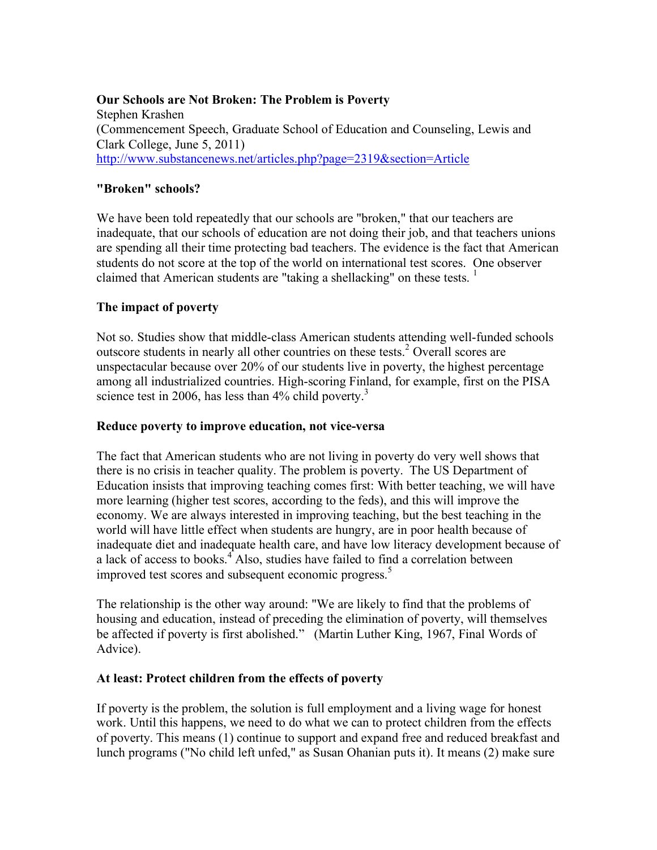# **Our Schools are Not Broken: The Problem is Poverty**

Stephen Krashen (Commencement Speech, Graduate School of Education and Counseling, Lewis and Clark College, June 5, 2011) http://www.substancenews.net/articles.php?page=2319&section=Article

### **"Broken" schools?**

We have been told repeatedly that our schools are "broken," that our teachers are inadequate, that our schools of education are not doing their job, and that teachers unions are spending all their time protecting bad teachers. The evidence is the fact that American students do not score at the top of the world on international test scores. One observer claimed that American students are "taking a shellacking" on these tests.  $\frac{1}{1}$ 

# **The impact of poverty**

Not so. Studies show that middle-class American students attending well-funded schools outscore students in nearly all other countries on these tests.<sup>2</sup> Overall scores are unspectacular because over 20% of our students live in poverty, the highest percentage among all industrialized countries. High-scoring Finland, for example, first on the PISA science test in 2006, has less than  $4\%$  child poverty.<sup>3</sup>

### **Reduce poverty to improve education, not vice-versa**

The fact that American students who are not living in poverty do very well shows that there is no crisis in teacher quality. The problem is poverty. The US Department of Education insists that improving teaching comes first: With better teaching, we will have more learning (higher test scores, according to the feds), and this will improve the economy. We are always interested in improving teaching, but the best teaching in the world will have little effect when students are hungry, are in poor health because of inadequate diet and inadequate health care, and have low literacy development because of a lack of access to books.<sup>4</sup> Also, studies have failed to find a correlation between improved test scores and subsequent economic progress.<sup>5</sup>

The relationship is the other way around: "We are likely to find that the problems of housing and education, instead of preceding the elimination of poverty, will themselves be affected if poverty is first abolished." (Martin Luther King, 1967, Final Words of Advice).

### **At least: Protect children from the effects of poverty**

If poverty is the problem, the solution is full employment and a living wage for honest work. Until this happens, we need to do what we can to protect children from the effects of poverty. This means (1) continue to support and expand free and reduced breakfast and lunch programs ("No child left unfed," as Susan Ohanian puts it). It means (2) make sure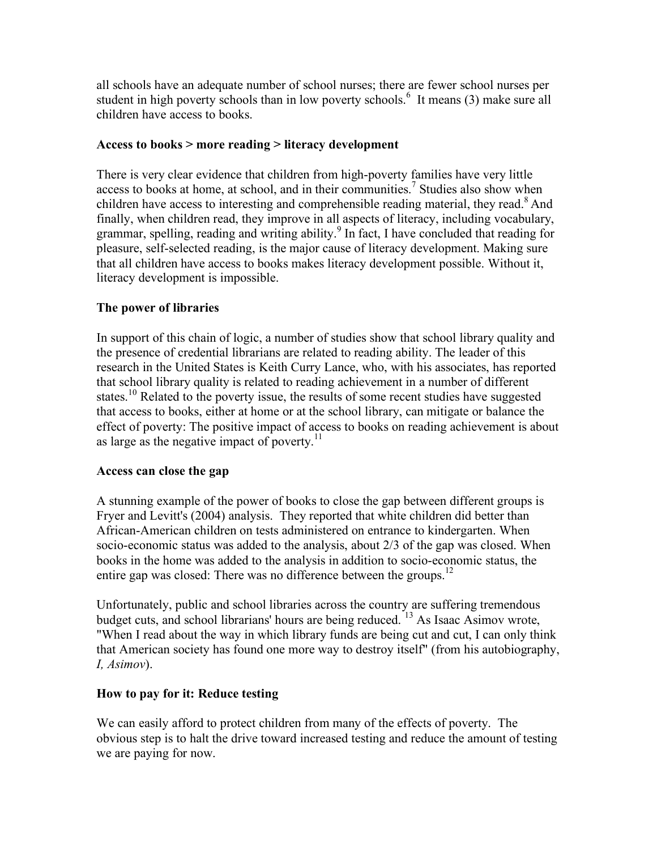all schools have an adequate number of school nurses; there are fewer school nurses per student in high poverty schools than in low poverty schools.<sup>6</sup> It means (3) make sure all children have access to books.

### **Access to books > more reading > literacy development**

There is very clear evidence that children from high-poverty families have very little access to books at home, at school, and in their communities.<sup>7</sup> Studies also show when children have access to interesting and comprehensible reading material, they read.<sup>8</sup> And finally, when children read, they improve in all aspects of literacy, including vocabulary, grammar, spelling, reading and writing ability.<sup>9</sup> In fact, I have concluded that reading for pleasure, self-selected reading, is the major cause of literacy development. Making sure that all children have access to books makes literacy development possible. Without it, literacy development is impossible.

### **The power of libraries**

In support of this chain of logic, a number of studies show that school library quality and the presence of credential librarians are related to reading ability. The leader of this research in the United States is Keith Curry Lance, who, with his associates, has reported that school library quality is related to reading achievement in a number of different states.<sup>10</sup> Related to the poverty issue, the results of some recent studies have suggested that access to books, either at home or at the school library, can mitigate or balance the effect of poverty: The positive impact of access to books on reading achievement is about as large as the negative impact of poverty.<sup>11</sup>

### **Access can close the gap**

A stunning example of the power of books to close the gap between different groups is Fryer and Levitt's (2004) analysis. They reported that white children did better than African-American children on tests administered on entrance to kindergarten. When socio-economic status was added to the analysis, about 2/3 of the gap was closed. When books in the home was added to the analysis in addition to socio-economic status, the entire gap was closed: There was no difference between the groups.<sup>12</sup>

Unfortunately, public and school libraries across the country are suffering tremendous budget cuts, and school librarians' hours are being reduced. <sup>13</sup> As Isaac Asimov wrote, "When I read about the way in which library funds are being cut and cut, I can only think that American society has found one more way to destroy itself" (from his autobiography, *I, Asimov*).

# **How to pay for it: Reduce testing**

We can easily afford to protect children from many of the effects of poverty. The obvious step is to halt the drive toward increased testing and reduce the amount of testing we are paying for now.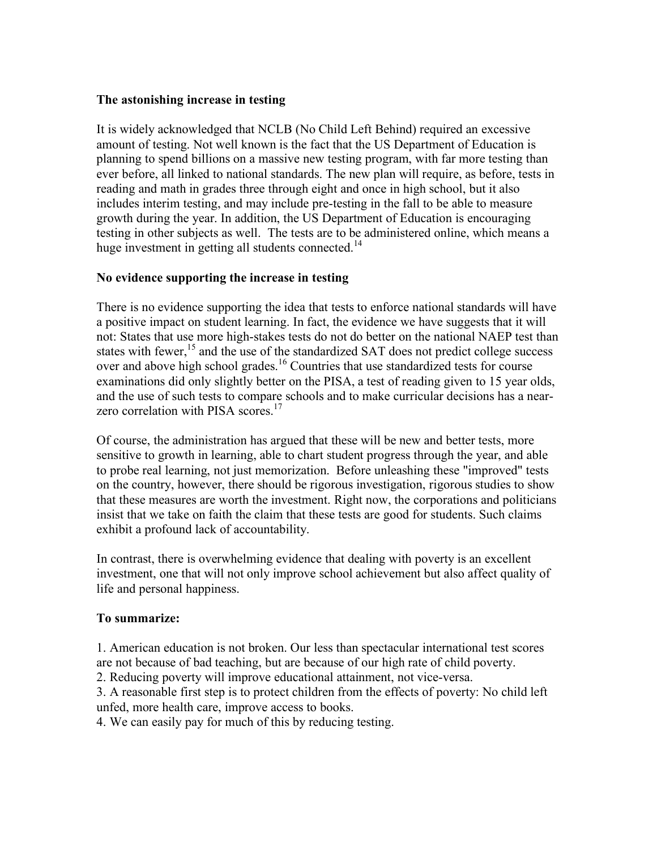### **The astonishing increase in testing**

It is widely acknowledged that NCLB (No Child Left Behind) required an excessive amount of testing. Not well known is the fact that the US Department of Education is planning to spend billions on a massive new testing program, with far more testing than ever before, all linked to national standards. The new plan will require, as before, tests in reading and math in grades three through eight and once in high school, but it also includes interim testing, and may include pre-testing in the fall to be able to measure growth during the year. In addition, the US Department of Education is encouraging testing in other subjects as well. The tests are to be administered online, which means a huge investment in getting all students connected.<sup>14</sup>

# **No evidence supporting the increase in testing**

There is no evidence supporting the idea that tests to enforce national standards will have a positive impact on student learning. In fact, the evidence we have suggests that it will not: States that use more high-stakes tests do not do better on the national NAEP test than states with fewer,  $15$  and the use of the standardized SAT does not predict college success over and above high school grades.<sup>16</sup> Countries that use standardized tests for course examinations did only slightly better on the PISA, a test of reading given to 15 year olds, and the use of such tests to compare schools and to make curricular decisions has a nearzero correlation with PISA scores.<sup>17</sup>

Of course, the administration has argued that these will be new and better tests, more sensitive to growth in learning, able to chart student progress through the year, and able to probe real learning, not just memorization. Before unleashing these "improved" tests on the country, however, there should be rigorous investigation, rigorous studies to show that these measures are worth the investment. Right now, the corporations and politicians insist that we take on faith the claim that these tests are good for students. Such claims exhibit a profound lack of accountability.

In contrast, there is overwhelming evidence that dealing with poverty is an excellent investment, one that will not only improve school achievement but also affect quality of life and personal happiness.

# **To summarize:**

1. American education is not broken. Our less than spectacular international test scores are not because of bad teaching, but are because of our high rate of child poverty.

2. Reducing poverty will improve educational attainment, not vice-versa.

3. A reasonable first step is to protect children from the effects of poverty: No child left unfed, more health care, improve access to books.

4. We can easily pay for much of this by reducing testing.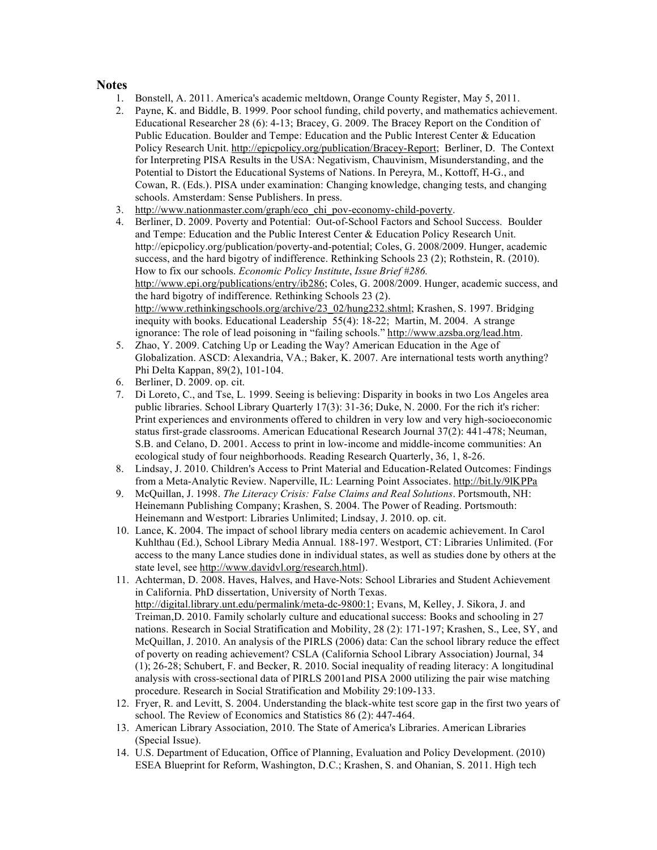#### **Notes**

- 1. Bonstell, A. 2011. America's academic meltdown, Orange County Register, May 5, 2011.
- 2. Payne, K. and Biddle, B. 1999. Poor school funding, child poverty, and mathematics achievement. Educational Researcher 28 (6): 4-13; Bracey, G. 2009. The Bracey Report on the Condition of Public Education. Boulder and Tempe: Education and the Public Interest Center & Education Policy Research Unit. http://epicpolicy.org/publication/Bracey-Report; Berliner, D. The Context for Interpreting PISA Results in the USA: Negativism, Chauvinism, Misunderstanding, and the Potential to Distort the Educational Systems of Nations. In Pereyra, M., Kottoff, H-G., and Cowan, R. (Eds.). PISA under examination: Changing knowledge, changing tests, and changing schools. Amsterdam: Sense Publishers. In press.
- 3. http://www.nationmaster.com/graph/eco\_chi\_pov-economy-child-poverty.
- 4. Berliner, D. 2009. Poverty and Potential: Out-of-School Factors and School Success. Boulder and Tempe: Education and the Public Interest Center & Education Policy Research Unit. http://epicpolicy.org/publication/poverty-and-potential; Coles, G. 2008/2009. Hunger, academic success, and the hard bigotry of indifference. Rethinking Schools 23 (2); Rothstein, R. (2010). How to fix our schools. *Economic Policy Institute*, *Issue Brief #286.* http://www.epi.org/publications/entry/ib286; Coles, G. 2008/2009. Hunger, academic success, and the hard bigotry of indifference. Rethinking Schools 23 (2). http://www.rethinkingschools.org/archive/23\_02/hung232.shtml; Krashen, S. 1997. Bridging inequity with books. Educational Leadership 55(4): 18-22; Martin, M. 2004. A strange ignorance: The role of lead poisoning in "failing schools." http://www.azsba.org/lead.htm.
- 5. Zhao, Y. 2009. Catching Up or Leading the Way? American Education in the Age of Globalization. ASCD: Alexandria, VA.; Baker, K. 2007. Are international tests worth anything? Phi Delta Kappan, 89(2), 101-104.
- 6. Berliner, D. 2009. op. cit.
- 7. Di Loreto, C., and Tse, L. 1999. Seeing is believing: Disparity in books in two Los Angeles area public libraries. School Library Quarterly 17(3): 31-36; Duke, N. 2000. For the rich it's richer: Print experiences and environments offered to children in very low and very high-socioeconomic status first-grade classrooms. American Educational Research Journal 37(2): 441-478; Neuman, S.B. and Celano, D. 2001. Access to print in low-income and middle-income communities: An ecological study of four neighborhoods. Reading Research Quarterly, 36, 1, 8-26.
- 8. Lindsay, J. 2010. Children's Access to Print Material and Education-Related Outcomes: Findings from a Meta-Analytic Review. Naperville, IL: Learning Point Associates. http://bit.ly/9lKPPa
- 9. McQuillan, J. 1998. *The Literacy Crisis: False Claims and Real Solutions*. Portsmouth, NH: Heinemann Publishing Company; Krashen, S. 2004. The Power of Reading. Portsmouth: Heinemann and Westport: Libraries Unlimited; Lindsay, J. 2010. op. cit.
- 10. Lance, K. 2004. The impact of school library media centers on academic achievement. In Carol Kuhlthau (Ed.), School Library Media Annual. 188-197. Westport, CT: Libraries Unlimited. (For access to the many Lance studies done in individual states, as well as studies done by others at the state level, see http://www.davidvl.org/research.html).
- 11. Achterman, D. 2008. Haves, Halves, and Have-Nots: School Libraries and Student Achievement in California. PhD dissertation, University of North Texas. http://digital.library.unt.edu/permalink/meta-dc-9800:1; Evans, M, Kelley, J. Sikora, J. and Treiman,D. 2010. Family scholarly culture and educational success: Books and schooling in 27 nations. Research in Social Stratification and Mobility, 28 (2): 171-197; Krashen, S., Lee, SY, and McQuillan, J. 2010. An analysis of the PIRLS (2006) data: Can the school library reduce the effect of poverty on reading achievement? CSLA (California School Library Association) Journal, 34 (1); 26-28; Schubert, F. and Becker, R. 2010. Social inequality of reading literacy: A longitudinal analysis with cross-sectional data of PIRLS 2001and PISA 2000 utilizing the pair wise matching procedure. Research in Social Stratification and Mobility 29:109-133.
- 12. Fryer, R. and Levitt, S. 2004. Understanding the black-white test score gap in the first two years of school. The Review of Economics and Statistics 86 (2): 447-464.
- 13. American Library Association, 2010. The State of America's Libraries. American Libraries (Special Issue).
- 14. U.S. Department of Education, Office of Planning, Evaluation and Policy Development. (2010) ESEA Blueprint for Reform, Washington, D.C.; Krashen, S. and Ohanian, S. 2011. High tech